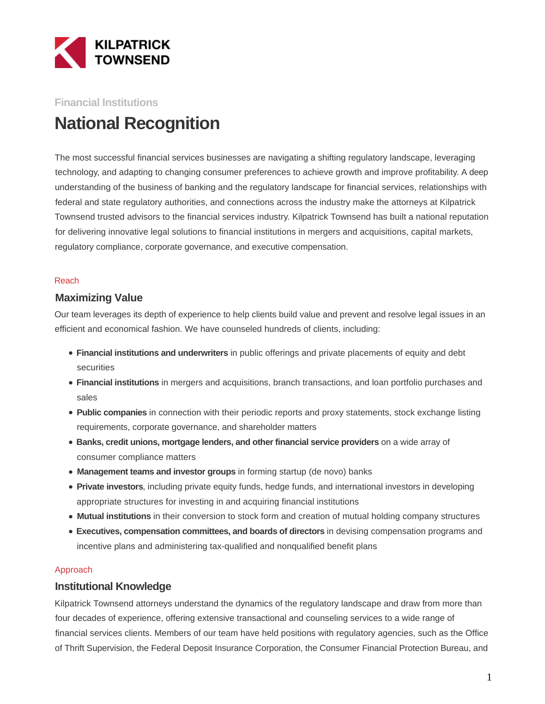

# **Financial Institutions National Recognition**

The most successful financial services businesses are navigating a shifting regulatory landscape, leveraging technology, and adapting to changing consumer preferences to achieve growth and improve profitability. A deep understanding of the business of banking and the regulatory landscape for financial services, relationships with federal and state regulatory authorities, and connections across the industry make the attorneys at Kilpatrick Townsend trusted advisors to the financial services industry. Kilpatrick Townsend has built a national reputation for delivering innovative legal solutions to financial institutions in mergers and acquisitions, capital markets, regulatory compliance, corporate governance, and executive compensation.

#### Reach

### **Maximizing Value**

Our team leverages its depth of experience to help clients build value and prevent and resolve legal issues in an efficient and economical fashion. We have counseled hundreds of clients, including:

- **Financial institutions and underwriters** in public offerings and private placements of equity and debt securities
- **Financial institutions** in mergers and acquisitions, branch transactions, and loan portfolio purchases and sales
- **Public companies** in connection with their periodic reports and proxy statements, stock exchange listing requirements, corporate governance, and shareholder matters
- **Banks, credit unions, mortgage lenders, and other financial service providers** on a wide array of consumer compliance matters
- **Management teams and investor groups** in forming startup (de novo) banks
- **Private investors**, including private equity funds, hedge funds, and international investors in developing appropriate structures for investing in and acquiring financial institutions
- **Mutual institutions** in their conversion to stock form and creation of mutual holding company structures
- **Executives, compensation committees, and boards of directors** in devising compensation programs and incentive plans and administering tax-qualified and nonqualified benefit plans

#### Approach

### **Institutional Knowledge**

Kilpatrick Townsend attorneys understand the dynamics of the regulatory landscape and draw from more than four decades of experience, offering extensive transactional and counseling services to a wide range of financial services clients. Members of our team have held positions with regulatory agencies, such as the Office of Thrift Supervision, the Federal Deposit Insurance Corporation, the Consumer Financial Protection Bureau, and